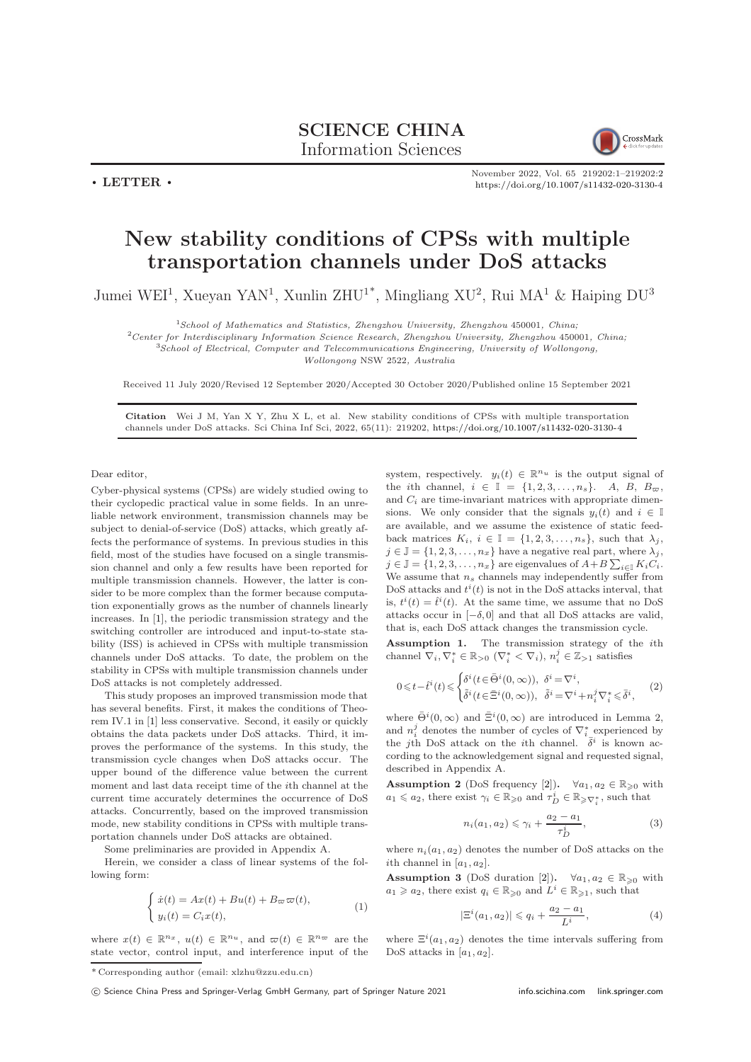SCIENCE CHINA Information Sciences

CrossMark

November 2022, Vol. 65 219202:1–219202[:2](#page-1-0) <https://doi.org/10.1007/s11432-020-3130-4>

New stability conditions of CPSs with multiple transportation channels under DoS attacks

Jumei WEI<sup>1</sup>, Xueyan YAN<sup>1</sup>, Xunlin ZHU<sup>1\*</sup>, Mingliang XU<sup>2</sup>, Rui MA<sup>1</sup> & Haiping DU<sup>3</sup>

 $1$ School of Mathematics and Statistics, Zhengzhou University, Zhengzhou 450001, China;

<sup>2</sup>Center for Interdisciplinary Information Science Research, Zhengzhou University, Zhengzhou 450001, China;

 $3School$  of Electrical, Computer and Telecommunications Engineering, University of Wollongong,

Wollongong NSW 2522, Australia

Received 11 July 2020/Revised 12 September 2020/Accepted 30 October 2020/Published online 15 September 2021

Citation Wei J M, Yan X Y, Zhu X L, et al. New stability conditions of CPSs with multiple transportation channels under DoS attacks. Sci China Inf Sci, 2022, 65(11): 219202, <https://doi.org/10.1007/s11432-020-3130-4>

Dear editor,

 $\cdot$  LETTER  $\cdot$ 

Cyber-physical systems (CPSs) are widely studied owing to their cyclopedic practical value in some fields. In an unreliable network environment, transmission channels may be subject to denial-of-service (DoS) attacks, which greatly affects the performance of systems. In previous studies in this field, most of the studies have focused on a single transmission channel and only a few results have been reported for multiple transmission channels. However, the latter is consider to be more complex than the former because computation exponentially grows as the number of channels linearly increases. In [\[1\]](#page-1-1), the periodic transmission strategy and the switching controller are introduced and input-to-state stability (ISS) is achieved in CPSs with multiple transmission channels under DoS attacks. To date, the problem on the stability in CPSs with multiple transmission channels under DoS attacks is not completely addressed.

This study proposes an improved transmission mode that has several benefits. First, it makes the conditions of Theorem IV.1 in [\[1\]](#page-1-1) less conservative. Second, it easily or quickly obtains the data packets under DoS attacks. Third, it improves the performance of the systems. In this study, the transmission cycle changes when DoS attacks occur. The upper bound of the difference value between the current moment and last data receipt time of the ith channel at the current time accurately determines the occurrence of DoS attacks. Concurrently, based on the improved transmission mode, new stability conditions in CPSs with multiple transportation channels under DoS attacks are obtained.

Some preliminaries are provided in Appendix A.

Herein, we consider a class of linear systems of the following form:

$$
\begin{cases}\n\dot{x}(t) = Ax(t) + Bu(t) + B_{\varpi}\varpi(t), \\
y_i(t) = C_i x(t),\n\end{cases} (1)
$$

where  $x(t) \in \mathbb{R}^{n_x}$ ,  $u(t) \in \mathbb{R}^{n_u}$ , and  $\varpi(t) \in \mathbb{R}^{n_{\varpi}}$  are the state vector, control input, and interference input of the

system, respectively.  $y_i(t) \in \mathbb{R}^{n_u}$  is the output signal of the *i*th channel,  $i \in \mathbb{I} = \{1, 2, 3, ..., n_s\}$ . A, B,  $B_{\varpi}$ , and  $C_i$  are time-invariant matrices with appropriate dimensions. We only consider that the signals  $y_i(t)$  and  $i \in \mathbb{I}$ are available, and we assume the existence of static feedback matrices  $K_i$ ,  $i \in \mathbb{I} = \{1, 2, 3, \ldots, n_s\}$ , such that  $\lambda_i$ ,  $j \in \mathbb{J} = \{1, 2, 3, \ldots, n_x\}$  have a negative real part, where  $\lambda_j$ ,  $j \in \mathbb{J} = \{1, 2, 3, \dots, n_x\}$  are eigenvalues of  $A + B \sum_{i \in \mathbb{J}} K_i C_i$ . We assume that  $n_s$  channels may independently suffer from DoS attacks and  $t^{i}(t)$  is not in the DoS attacks interval, that is,  $t^{i}(t) = \hat{t}^{i}(t)$ . At the same time, we assume that no DoS attacks occur in  $[-\delta, 0]$  and that all DoS attacks are valid, that is, each DoS attack changes the transmission cycle.

Assumption 1. The transmission strategy of the ith channel  $\nabla_i, \nabla_i^* \in \mathbb{R}_{>0}$   $(\nabla_i^* \lt \nabla_i), n_i^j \in \mathbb{Z}_{>1}$  satisfies

$$
0 \leq t - \hat{t}^i(t) \leq \begin{cases} \delta^i(t \in \bar{\Theta}^i(0,\infty)), & \delta^i = \nabla^i, \\ \tilde{\delta}^i(t \in \bar{\Xi}^i(0,\infty)), & \tilde{\delta}^i = \nabla^i + n_i^j \nabla_i^* \leq \bar{\delta}^i, \end{cases} (2)
$$

where  $\bar{\Theta}^i(0,\infty)$  and  $\bar{\Xi}^i(0,\infty)$  are introduced in Lemma 2, and  $n_i^j$  denotes the number of cycles of  $\nabla_i^*$  experienced by the j<sup>th</sup> DoS attack on the *i*<sup>th</sup> channel.  $\bar{\delta}^i$  is known according to the acknowledgement signal and requested signal, described in Appendix A.

Assumption 2 (DoS frequency [\[2\]](#page-1-2)).  $\forall a_1, a_2 \in \mathbb{R}_{\geqslant 0}$  with  $a_1 \leq a_2$ , there exist  $\gamma_i \in \mathbb{R}_{\geqslant 0}$  and  $\tau_D^i \in \mathbb{R}_{\geqslant \nabla_i^*}$ , such that

$$
n_i(a_1, a_2) \le \gamma_i + \frac{a_2 - a_1}{\tau_D^i},\tag{3}
$$

where  $n_i(a_1, a_2)$  denotes the number of DoS attacks on the ith channel in  $[a_1, a_2]$ .

Assumption 3 (DoS duration [\[2\]](#page-1-2)).  $\forall a_1, a_2 \in \mathbb{R}_{\geq 0}$  with  $a_1 \geq a_2$ , there exist  $q_i \in \mathbb{R}_{\geqslant 0}$  and  $L^i \in \mathbb{R}_{\geqslant 1}$ , such that

$$
|\Xi^{i}(a_1, a_2)| \leq q_i + \frac{a_2 - a_1}{L^i}, \tag{4}
$$

where  $\Xi^i(a_1, a_2)$  denotes the time intervals suffering from DoS attacks in  $[a_1, a_2]$ .

<sup>\*</sup> Corresponding author (email: xlzhu@zzu.edu.cn)

c Science China Press and Springer-Verlag GmbH Germany, part of Springer Nature 2021 <info.scichina.com><link.springer.com>